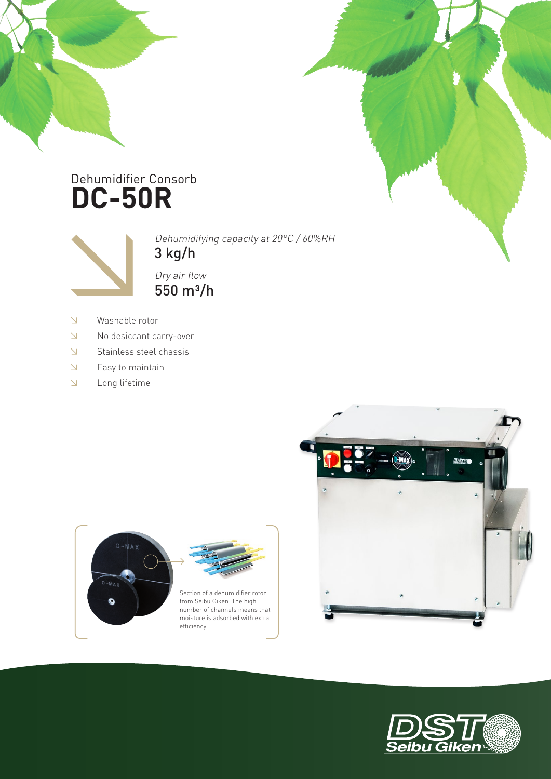## **DC-50R** Dehumidifier Consorb



3 kg/h Dehumidifying capacity at 20°C / 60%RH

> Section of a dehumidifier rotor from Seibu Giken. The high

moisture is adsorbed with extra

efficiency.

 $550 \; \text{m}^3/\text{h}$ Dry air flow

- $\bar{\Delta}$ Washable rotor
- $\Delta$ No desiccant carry-over
- $\bar{\Delta}$ Stainless steel chassis
- $\Delta$ Easy to maintain
- Long lifetime  $\Delta$

 $D-MA$  $\bullet$